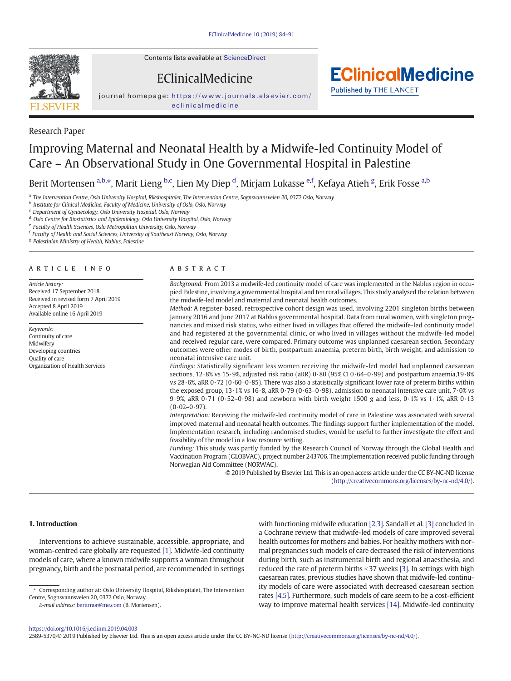

EClinicalMedicine

journal homepage: [https://www.journals.elsevier.com/](https://www.journals.elsevier.com/eclinicalmedicine) [eclinicalmedicine](https://www.journals.elsevier.com/eclinicalmedicine)

## Research Paper

# Improving Maternal and Neonatal Health by a Midwife-led Continuity Model of Care – An Observational Study in One Governmental Hospital in Palestine

# Berit Mortensen <sup>a,b,</sup>\*, Marit Lieng <sup>b,c</sup>, Lien My Diep <sup>d</sup>, Mirjam Lukasse <sup>e,f</sup>, Kefaya Atieh <sup>g</sup>, Erik Fosse <sup>a,b</sup>

a The Intervention Centre, Oslo University Hospital, Rikshospitalet, The Intervention Centre, Sognsvannsveien 20, 0372 Oslo, Norway

<sup>b</sup> Institute for Clinical Medicine, Faculty of Medicine, University of Oslo, Oslo, Norway

<sup>c</sup> Department of Gynaecology, Oslo University Hospital, Oslo, Norway

<sup>d</sup> Oslo Centre for Biostatistics and Epidemiology, Oslo University Hospital, Oslo, Norway

<sup>e</sup> Faculty of Health Sciences, Oslo Metropolitan University, Oslo, Norway

<sup>f</sup> Faculty of Health and Social Sciences, University of Southeast Norway, Oslo, Norway

<sup>g</sup> Palestinian Ministry of Health, Nablus, Palestine

#### article info abstract

Article history: Received 17 September 2018 Received in revised form 7 April 2019 Accepted 8 April 2019 Available online 16 April 2019

Keywords: Continuity of care Midwifery Developing countries Quality of care Organization of Health Services

Background: From 2013 a midwife-led continuity model of care was implemented in the Nablus region in occupied Palestine, involving a governmental hospital and ten rural villages. This study analysed the relation between the midwife-led model and maternal and neonatal health outcomes.

**EClinicalMedicine** 

**Published by THE LANCET** 

Method: A register-based, retrospective cohort design was used, involving 2201 singleton births between January 2016 and June 2017 at Nablus governmental hospital. Data from rural women, with singleton pregnancies and mixed risk status, who either lived in villages that offered the midwife-led continuity model and had registered at the governmental clinic, or who lived in villages without the midwife-led model and received regular care, were compared. Primary outcome was unplanned caesarean section. Secondary outcomes were other modes of birth, postpartum anaemia, preterm birth, birth weight, and admission to neonatal intensive care unit.

Findings: Statistically significant less women receiving the midwife-led model had unplanned caesarean sections, 12·8% vs 15·9%, adjusted risk ratio (aRR) 0·80 (95% CI 0·64–0·99) and postpartum anaemia,19·8% vs 28·6%, aRR 0·72 (0·60–0·85). There was also a statistically significant lower rate of preterm births within the exposed group, 13·1% vs 16·8, aRR 0·79 (0·63–0·98), admission to neonatal intensive care unit, 7·0% vs 9·9%, aRR 0·71 (0·52–0·98) and newborn with birth weight 1500 g and less, 0·1% vs 1·1%, aRR 0·13  $(0.02 - 0.97)$ .

Interpretation: Receiving the midwife-led continuity model of care in Palestine was associated with several improved maternal and neonatal health outcomes. The findings support further implementation of the model. Implementation research, including randomised studies, would be useful to further investigate the effect and feasibility of the model in a low resource setting.

Funding: This study was partly funded by the Research Council of Norway through the Global Health and Vaccination Program (GLOBVAC), project number 243706. The implementation received public funding through Norwegian Aid Committee (NORWAC).

> © 2019 Published by Elsevier Ltd. This is an open access article under the CC BY-NC-ND license [\(http://creativecommons.org/licenses/by-nc-nd/4.0/](http://creativecommons.org/licenses/by-nc-nd/4.0/)).

#### 1. Introduction

Interventions to achieve sustainable, accessible, appropriate, and woman-centred care globally are requested [\[1\]](#page-6-0). Midwife-led continuity models of care, where a known midwife supports a woman throughout pregnancy, birth and the postnatal period, are recommended in settings

E-mail address: <beritmor@me.com> (B. Mortensen).

with functioning midwife education [\[2,3\]](#page-6-0). Sandall et al. [\[3\]](#page-6-0) concluded in a Cochrane review that midwife-led models of care improved several health outcomes for mothers and babies. For healthy mothers with normal pregnancies such models of care decreased the risk of interventions during birth, such as instrumental birth and regional anaesthesia, and reduced the rate of preterm births  $<$  37 weeks [\[3\].](#page-6-0) In settings with high caesarean rates, previous studies have shown that midwife-led continuity models of care were associated with decreased caesarean section rates [\[4,5\].](#page-6-0) Furthermore, such models of care seem to be a cost-efficient way to improve maternal health services [\[14\].](#page-6-0) Midwife-led continuity

<https://doi.org/10.1016/j.eclinm.2019.04.003>

2589-5370/© 2019 Published by Elsevier Ltd. This is an open access article under the CC BY-NC-ND license [\(http://creativecommons.org/licenses/by-nc-nd/4.0/](http://creativecommons.org/licenses/by-nc-nd/4.0/)).



<sup>⁎</sup> Corresponding author at: Oslo University Hospital, Rikshospitalet, The Intervention Centre, Sognsvannsveien 20, 0372 Oslo, Norway.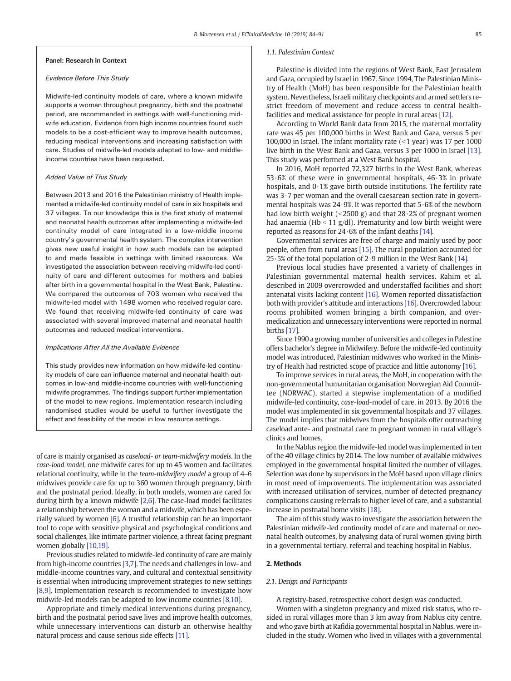#### Panel: Research in Context

#### Evidence Before This Study

Midwife-led continuity models of care, where a known midwife supports a woman throughout pregnancy, birth and the postnatal period, are recommended in settings with well-functioning midwife education. Evidence from high income countries found such models to be a cost-efficient way to improve health outcomes, reducing medical interventions and increasing satisfaction with care. Studies of midwife-led models adapted to low- and middleincome countries have been requested.

#### Added Value of This Study

Between 2013 and 2016 the Palestinian ministry of Health implemented a midwife-led continuity model of care in six hospitals and 37 villages. To our knowledge this is the first study of maternal and neonatal health outcomes after implementing a midwife-led continuity model of care integrated in a low-middle income country's governmental health system. The complex intervention gives new useful insight in how such models can be adapted to and made feasible in settings with limited resources. We investigated the association between receiving midwife-led continuity of care and different outcomes for mothers and babies after birth in a governmental hospital in the West Bank, Palestine. We compared the outcomes of 703 women who received the midwife-led model with 1498 women who received regular care. We found that receiving midwife-led continuity of care was associated with several improved maternal and neonatal health outcomes and reduced medical interventions.

#### Implications After All the Available Evidence

This study provides new information on how midwife-led continuity models of care can influence maternal and neonatal health outcomes in low-and middle-income countries with well-functioning midwife programmes. The findings support further implementation of the model to new regions. Implementation research including randomised studies would be useful to further investigate the effect and feasibility of the model in low resource settings.

of care is mainly organised as caseload- or team-midwifery models. In the case-load model, one midwife cares for up to 45 women and facilitates relational continuity, while in the team-midwifery model a group of 4–6 midwives provide care for up to 360 women through pregnancy, birth and the postnatal period. Ideally, in both models, women are cared for during birth by a known midwife [\[2,6\]](#page-6-0). The case-load model facilitates a relationship between the woman and a midwife, which has been especially valued by women [\[6\]](#page-6-0). A trustful relationship can be an important tool to cope with sensitive physical and psychological conditions and social challenges, like intimate partner violence, a threat facing pregnant women globally [\[10,19\].](#page-6-0)

Previous studies related to midwife-led continuity of care are mainly from high-income countries [\[3,7\].](#page-6-0) The needs and challenges in low- and middle-income countries vary, and cultural and contextual sensitivity is essential when introducing improvement strategies to new settings [\[8,9\]](#page-6-0). Implementation research is recommended to investigate how midwife-led models can be adapted to low income countries [\[8,10\].](#page-6-0)

Appropriate and timely medical interventions during pregnancy, birth and the postnatal period save lives and improve health outcomes, while unnecessary interventions can disturb an otherwise healthy natural process and cause serious side effects [\[11\].](#page-6-0)

#### 1.1. Palestinian Context

Palestine is divided into the regions of West Bank, East Jerusalem and Gaza, occupied by Israel in 1967. Since 1994, The Palestinian Ministry of Health (MoH) has been responsible for the Palestinian health system. Nevertheless, Israeli military checkpoints and armed settlers restrict freedom of movement and reduce access to central healthfacilities and medical assistance for people in rural areas [\[12\]](#page-6-0).

According to World Bank data from 2015, the maternal mortality rate was 45 per 100,000 births in West Bank and Gaza, versus 5 per 100,000 in Israel. The infant mortality rate  $($  < 1 year) was 17 per 1000 live birth in the West Bank and Gaza, versus 3 per 1000 in Israel [\[13\].](#page-6-0) This study was performed at a West Bank hospital.

In 2016, MoH reported 72,327 births in the West Bank, whereas 53·6% of these were in governmental hospitals, 46·3% in private hospitals, and  $0.1\%$  gave birth outside institutions. The fertility rate was 3·7 per woman and the overall caesarean section rate in governmental hospitals was 24·9%. It was reported that 5·6% of the newborn had low birth weight  $($  <2500 g) and that 28 $\cdot$ 2% of pregnant women had anaemia (Hb < 11 g/dl). Prematurity and low birth weight were reported as reasons for  $24.6%$  of the infant deaths [\[14\].](#page-6-0)

Governmental services are free of charge and mainly used by poor people, often from rural areas [\[15\]](#page-6-0). The rural population accounted for 25 $\cdot$ 5% of the total population of 2 $\cdot$ 9 million in the West Bank [\[14\].](#page-6-0)

Previous local studies have presented a variety of challenges in Palestinian governmental maternal health services. Rahim et al. described in 2009 overcrowded and understaffed facilities and short antenatal visits lacking content [\[16\].](#page-6-0) Women reported dissatisfaction both with provider's attitude and interactions [\[16\].](#page-6-0) Overcrowded labour rooms prohibited women bringing a birth companion, and overmedicalization and unnecessary interventions were reported in normal births [\[17\].](#page-6-0)

Since 1990 a growing number of universities and colleges in Palestine offers bachelor's degree in Midwifery. Before the midwife-led continuity model was introduced, Palestinian midwives who worked in the Ministry of Health had restricted scope of practice and little autonomy [\[16\].](#page-6-0)

To improve services in rural areas, the MoH, in cooperation with the non-governmental humanitarian organisation Norwegian Aid Committee (NORWAC), started a stepwise implementation of a modified midwife-led continuity, case-load-model of care, in 2013. By 2016 the model was implemented in six governmental hospitals and 37 villages. The model implies that midwives from the hospitals offer outreaching caseload ante- and postnatal care to pregnant women in rural village's clinics and homes.

In the Nablus region the midwife-led model was implemented in ten of the 40 village clinics by 2014. The low number of available midwives employed in the governmental hospital limited the number of villages. Selection was done by supervisors in the MoH based upon village clinics in most need of improvements. The implementation was associated with increased utilisation of services, number of detected pregnancy complications causing referrals to higher level of care, and a substantial increase in postnatal home visits [\[18\].](#page-6-0)

The aim of this study was to investigate the association between the Palestinian midwife-led continuity model of care and maternal or neonatal health outcomes, by analysing data of rural women giving birth in a governmental tertiary, referral and teaching hospital in Nablus.

#### 2. Methods

#### 2.1. Design and Participants

A registry-based, retrospective cohort design was conducted. Women with a singleton pregnancy and mixed risk status, who resided in rural villages more than 3 km away from Nablus city centre, and who gave birth at Rafidia governmental hospital in Nablus, were included in the study. Women who lived in villages with a governmental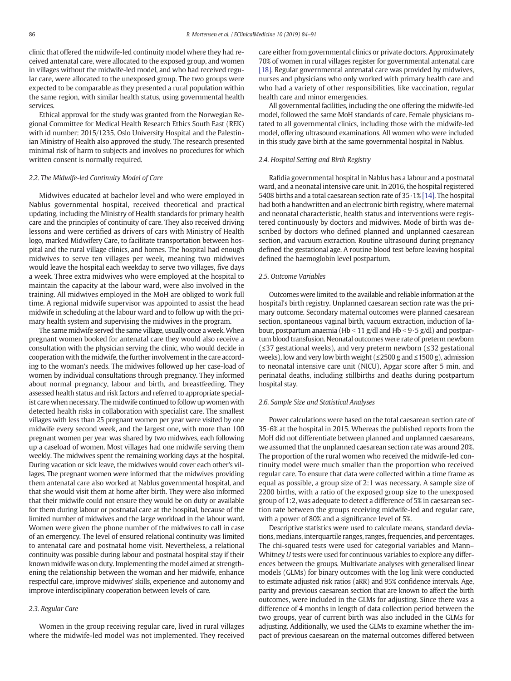clinic that offered the midwife-led continuity model where they had received antenatal care, were allocated to the exposed group, and women in villages without the midwife-led model, and who had received regular care, were allocated to the unexposed group. The two groups were expected to be comparable as they presented a rural population within the same region, with similar health status, using governmental health services.

Ethical approval for the study was granted from the Norwegian Regional Committee for Medical Health Research Ethics South East (REK) with id number: 2015/1235. Oslo University Hospital and the Palestinian Ministry of Health also approved the study. The research presented minimal risk of harm to subjects and involves no procedures for which written consent is normally required.

### 2.2. The Midwife-led Continuity Model of Care

Midwives educated at bachelor level and who were employed in Nablus governmental hospital, received theoretical and practical updating, including the Ministry of Health standards for primary health care and the principles of continuity of care. They also received driving lessons and were certified as drivers of cars with Ministry of Health logo, marked Midwifery Care, to facilitate transportation between hospital and the rural village clinics, and homes. The hospital had enough midwives to serve ten villages per week, meaning two midwives would leave the hospital each weekday to serve two villages, five days a week. Three extra midwives who were employed at the hospital to maintain the capacity at the labour ward, were also involved in the training. All midwives employed in the MoH are obliged to work full time. A regional midwife supervisor was appointed to assist the head midwife in scheduling at the labour ward and to follow up with the primary health system and supervising the midwives in the program.

The same midwife served the same village, usually once a week.When pregnant women booked for antenatal care they would also receive a consultation with the physician serving the clinic, who would decide in cooperation with the midwife, the further involvement in the care according to the woman's needs. The midwives followed up her case-load of women by individual consultations through pregnancy. They informed about normal pregnancy, labour and birth, and breastfeeding. They assessed health status and risk factors and referred to appropriate specialist care when necessary. The midwife continued to follow up women with detected health risks in collaboration with specialist care. The smallest villages with less than 25 pregnant women per year were visited by one midwife every second week, and the largest one, with more than 100 pregnant women per year was shared by two midwives, each following up a caseload of women. Most villages had one midwife serving them weekly. The midwives spent the remaining working days at the hospital. During vacation or sick leave, the midwives would cover each other's villages. The pregnant women were informed that the midwives providing them antenatal care also worked at Nablus governmental hospital, and that she would visit them at home after birth. They were also informed that their midwife could not ensure they would be on duty or available for them during labour or postnatal care at the hospital, because of the limited number of midwives and the large workload in the labour ward. Women were given the phone number of the midwives to call in case of an emergency. The level of ensured relational continuity was limited to antenatal care and postnatal home visit. Nevertheless, a relational continuity was possible during labour and postnatal hospital stay if their known midwife was on duty. Implementing the model aimed at strengthening the relationship between the woman and her midwife, enhance respectful care, improve midwives' skills, experience and autonomy and improve interdisciplinary cooperation between levels of care.

#### 2.3. Regular Care

Women in the group receiving regular care, lived in rural villages where the midwife-led model was not implemented. They received care either from governmental clinics or private doctors. Approximately 70% of women in rural villages register for governmental antenatal care [\[18\]](#page-6-0). Regular governmental antenatal care was provided by midwives, nurses and physicians who only worked with primary health care and who had a variety of other responsibilities, like vaccination, regular health care and minor emergencies.

All governmental facilities, including the one offering the midwife-led model, followed the same MoH standards of care. Female physicians rotated to all governmental clinics, including those with the midwife-led model, offering ultrasound examinations. All women who were included in this study gave birth at the same governmental hospital in Nablus.

#### 2.4. Hospital Setting and Birth Registry

Rafidia governmental hospital in Nablus has a labour and a postnatal ward, and a neonatal intensive care unit. In 2016, the hospital registered 5408 births and a total caesarean section rate of 35·1% [\[14\]](#page-6-0). The hospital had both a handwritten and an electronic birth registry, where maternal and neonatal characteristic, health status and interventions were registered continuously by doctors and midwives. Mode of birth was described by doctors who defined planned and unplanned caesarean section, and vacuum extraction. Routine ultrasound during pregnancy defined the gestational age. A routine blood test before leaving hospital defined the haemoglobin level postpartum.

#### 2.5. Outcome Variables

Outcomes were limited to the available and reliable information at the hospital's birth registry. Unplanned caesarean section rate was the primary outcome. Secondary maternal outcomes were planned caesarean section, spontaneous vaginal birth, vacuum extraction, induction of labour, postpartum anaemia (Hb < 11 g/dl and Hb <  $9.5$  g/dl) and postpartum blood transfusion. Neonatal outcomes were rate of preterm newborn (≤37 gestational weeks), and very preterm newborn (≤32 gestational weeks), low and very low birth weight (≤2500 g and ≤1500 g), admission to neonatal intensive care unit (NICU), Apgar score after 5 min, and perinatal deaths, including stillbirths and deaths during postpartum hospital stay.

#### 2.6. Sample Size and Statistical Analyses

Power calculations were based on the total caesarean section rate of 35·6% at the hospital in 2015. Whereas the published reports from the MoH did not differentiate between planned and unplanned caesareans, we assumed that the unplanned caesarean section rate was around 20%. The proportion of the rural women who received the midwife-led continuity model were much smaller than the proportion who received regular care. To ensure that data were collected within a time frame as equal as possible, a group size of 2:1 was necessary. A sample size of 2200 births, with a ratio of the exposed group size to the unexposed group of 1:2, was adequate to detect a difference of 5% in caesarean section rate between the groups receiving midwife-led and regular care, with a power of 80% and a significance level of 5%.

Descriptive statistics were used to calculate means, standard deviations, medians, interquartile ranges, ranges, frequencies, and percentages. The chi-squared tests were used for categorial variables and Mann– Whitney U tests were used for continuous variables to explore any differences between the groups. Multivariate analyses with generalised linear models (GLMs) for binary outcomes with the log link were conducted to estimate adjusted risk ratios (aRR) and 95% confidence intervals. Age, parity and previous caesarean section that are known to affect the birth outcomes, were included in the GLMs for adjusting. Since there was a difference of 4 months in length of data collection period between the two groups, year of current birth was also included in the GLMs for adjusting. Additionally, we used the GLMs to examine whether the impact of previous caesarean on the maternal outcomes differed between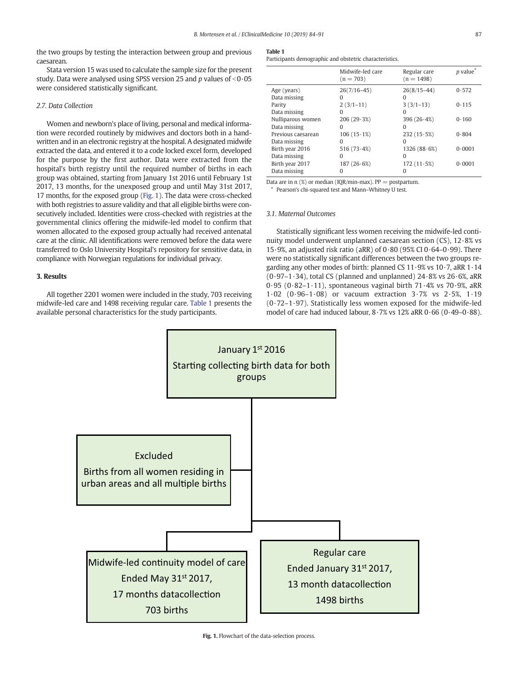the two groups by testing the interaction between group and previous caesarean.

Stata version 15 was used to calculate the sample size for the present study. Data were analysed using SPSS version 25 and p values of  $< 0.05$ were considered statistically significant.

#### 2.7. Data Collection

Women and newborn's place of living, personal and medical information were recorded routinely by midwives and doctors both in a handwritten and in an electronic registry at the hospital. A designated midwife extracted the data, and entered it to a code locked excel form, developed for the purpose by the first author. Data were extracted from the hospital's birth registry until the required number of births in each group was obtained, starting from January 1st 2016 until February 1st 2017, 13 months, for the unexposed group and until May 31st 2017, 17 months, for the exposed group (Fig. 1). The data were cross-checked with both registries to assure validity and that all eligible births were consecutively included. Identities were cross-checked with registries at the governmental clinics offering the midwife-led model to confirm that women allocated to the exposed group actually had received antenatal care at the clinic. All identifications were removed before the data were transferred to Oslo University Hospital's repository for sensitive data, in compliance with Norwegian regulations for individual privacy.

#### 3. Results

All together 2201 women were included in the study, 703 receiving midwife-led care and 1498 receiving regular care. Table 1 presents the available personal characteristics for the study participants.

#### Table 1

Participants demographic and obstetric characteristics.

|                    | Midwife-led care<br>$(n = 703)$ | Regular care<br>$(n = 1498)$ | $p$ value $*$ |
|--------------------|---------------------------------|------------------------------|---------------|
| Age (years)        | $26(7/16-45)$                   | $26(8/15-44)$                | 0.572         |
| Data missing       | 0                               | 0                            |               |
| Parity             | $2(3/1-11)$                     | $3(3/1-13)$                  | 0.115         |
| Data missing       | 0                               | $\theta$                     |               |
| Nulliparous women  | 206(29.3%)                      | 396 $(26.4%)$                | 0.160         |
| Data missing       | 0                               | 0                            |               |
| Previous caesarean | 106(15.1%)                      | 232(15.5%)                   | 0.804         |
| Data missing       | O                               | 0                            |               |
| Birth year 2016    | 516 $(73.4\%)$                  | 1326 (88.6%)                 | 0.0001        |
| Data missing       | 0                               | 0                            |               |
| Birth year 2017    | 187(26.6%)                      | 172(11.5%)                   | 0.0001        |
| Data missing       | n                               | O                            |               |

Data are in  $n$  (%) or median (IOR/min-max). PP = postpartum.

Pearson's chi-squared test and Mann–Whitney U test.

#### 3.1. Maternal Outcomes

Statistically significant less women receiving the midwife-led continuity model underwent unplanned caesarean section (CS), 12·8% vs 15 $\cdot$ 9%, an adjusted risk ratio (aRR) of 0 $\cdot$ 80 (95% CI 0 $\cdot$ 64-0 $\cdot$ 99). There were no statistically significant differences between the two groups regarding any other modes of birth: planned CS  $11.9\%$  vs  $10.7$ , aRR  $1.14$  $(0.97-1.34)$ , total CS (planned and unplanned)  $24.8\%$  vs  $26.6\%$ , aRR 0·95 (0·82-1·11), spontaneous vaginal birth  $71.4\%$  vs  $70.9\%$ , aRR 1·02 (0·96–1·08) or vacuum extraction 3·7% vs 2·5%, 1·19  $(0.72-1.97)$ . Statistically less women exposed for the midwife-led model of care had induced labour, 8·7% vs 12% aRR 0·66 (0·49–0·88).

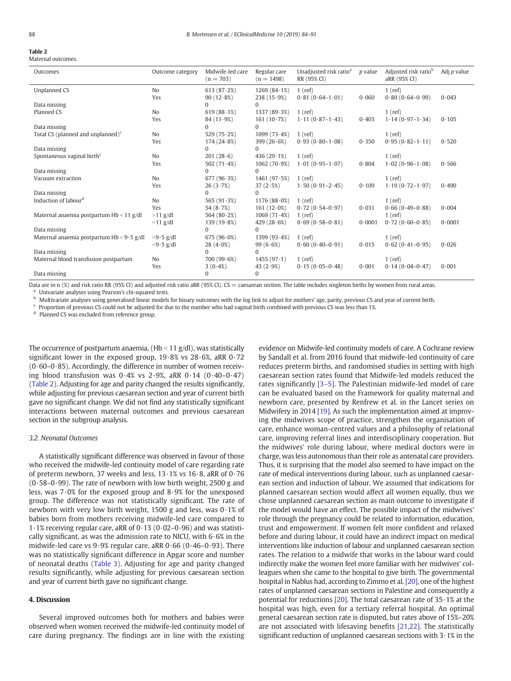#### Table 2 Maternal outcomes.

| Outcomes                                   | Outcome category | Midwife-led care<br>$(n = 703)$ | Regular care<br>$(n = 1498)$ | Unadjusted risk ratio <sup>a</sup><br>RR (95% CI) | <i>p</i> value | Adjusted risk ratio <sup>b</sup><br>aRR (95% CI) | Adj p value |
|--------------------------------------------|------------------|---------------------------------|------------------------------|---------------------------------------------------|----------------|--------------------------------------------------|-------------|
| <b>Unplanned CS</b>                        | N <sub>o</sub>   | 613 $(87.2%)$                   | 1269(84.1%)                  | $1$ (ref)                                         |                | 1(ref)                                           |             |
|                                            | Yes              | 90 $(12.8%)$                    | 238(15.9%)                   | $0.81(0.64-1.01)$                                 | 0.060          | $0.80(0.64 - 0.99)$                              | 0.043       |
| Data missing                               |                  | $\Omega$                        | $\Omega$                     |                                                   |                |                                                  |             |
| Planned CS                                 | N <sub>o</sub>   | 619(88.1%)                      | 1337(89.3%)                  | $1$ (ref)                                         |                | 1(ref)                                           |             |
|                                            | Yes              | 84(11.9%)                       | 161(10.7%)                   | $1.11(0.87-1.43)$                                 | 0.403          | $1.14(0.97-1.34)$                                | 0.105       |
| Data missing                               |                  | $\Omega$                        | $\Omega$                     |                                                   |                |                                                  |             |
| Total CS (planned and unplanned) $c$       | N <sub>o</sub>   | 529 $(75.2%)$                   | 1099(73.4%)                  | $1$ (ref)                                         |                | 1(ref)                                           |             |
|                                            | Yes              | 174(24.8%)                      | 399(26.6%)                   | $0.93(0.80 - 1.08)$                               | 0.350          | $0.95(0.82 - 1.11)$                              | 0.520       |
| Data missing                               |                  | $\Omega$                        | $\Omega$                     |                                                   |                |                                                  |             |
| Spontaneous vaginal birth <sup>c</sup>     | N <sub>o</sub>   | 201(28.6)                       | 436 $(29.1%)$                | $1$ (ref)                                         |                | 1(ref)                                           |             |
|                                            | Yes              | 502 $(71.4%)$                   | 1062(70.9%)                  | $1.01(0.95 - 1.07)$                               | 0.804          | $1.02(0.96 - 1.08)$                              | 0.566       |
| Data missing                               |                  | $\Omega$                        | $\Omega$                     |                                                   |                |                                                  |             |
| Vacuum extraction                          | N <sub>o</sub>   | 677(96.3%)                      | 1461 (97.5%)                 | $1$ (ref)                                         |                | 1(ref)                                           |             |
|                                            | Yes              | 26(3.7%)                        | 37(2.5%)                     | $1.50(0.91 - 2.45)$                               | 0.109          | $1.19(0.72 - 1.97)$                              | 0.490       |
| Data missing                               |                  | $\Omega$                        | $\Omega$                     |                                                   |                |                                                  |             |
| Induction of labour <sup>d</sup>           | N <sub>o</sub>   | 565 $(91.3%)$                   | 1176(88.0%)                  | $1$ (ref)                                         |                | $1$ (ref)                                        |             |
|                                            | Yes              | 54 $(8.7%)$                     | 161(12.0%)                   | $0.72(0.54 - 0.97)$                               | 0.031          | $0.66(0.49 - 0.88)$                              | 0.004       |
| Maternal anaemia postpartum $Hb < 11$ g/dl | $>11$ g/dl       | 564 $(80.2%)$                   | 1069(71.4%)                  | $1$ (ref)                                         |                | $1$ (ref)                                        |             |
|                                            | $<$ 11 g/dl      | 139(19.8%)                      | 429 $(28.6%)$                | $0.69(0.58 - 0.81)$                               | 0.0001         | $0.72(0.60 - 0.85)$                              | 0.0001      |
| Data missing                               |                  | $\Omega$                        | $\Omega$                     |                                                   |                |                                                  |             |
| Maternal anaemia postpartum Hb < 9.5 g/dl  | $>9.5$ g/dl      | 675 $(96.0\%)$                  | 1399(93.4%)                  | $1$ (ref)                                         |                | $1$ (ref)                                        |             |
|                                            | $<9.5$ g/dl      | 28 $(4.0%)$                     | 99 $(6.6%)$                  | $0.60(0.40-0.91)$                                 | 0.015          | $0.62(0.41 - 0.95)$                              | 0.026       |
| Data missing                               |                  | $\Omega$                        | $\Omega$                     |                                                   |                |                                                  |             |
| Maternal blood transfusion postpartum      | N <sub>o</sub>   | 700(99.6%)                      | 1455(97.1)                   | $1$ (ref)                                         |                | $1$ (ref)                                        |             |
|                                            | Yes              | $3(0.4\%)$                      | 43 $(2.9%)$                  | $0.15(0.05 - 0.48)$                               | 0.001          | $0.14(0.04 - 0.47)$                              | 0.001       |
| Data missing                               |                  | $\Omega$                        | 0                            |                                                   |                |                                                  |             |

Data are in n (%) and risk ratio RR (95% CI) and adjusted risk ratio aRR (95% CI). CS = caesarean section. The table includes singleton births by women from rural areas. <sup>a</sup> Univariate analyses using Pearson's chi-squared tests.

<sup>b</sup> Multivariate analyses using generalised linear models for binary outcomes with the log link to adjust for mothers' age, parity, previous CS and year of current birth.

 $\epsilon$  Proportion of previous CS could not be adjusted for due to the number who had vaginal birth combined with previous CS was less than 1%.

<sup>d</sup> Planned CS was excluded from reference group.

The occurrence of postpartum anaemia,  $(Hb < 11 g/dl)$ , was statistically significant lower in the exposed group,  $19.8\%$  vs  $28.6\%$ , aRR  $0.72$  $(0.60-0.85)$ . Accordingly, the difference in number of women receiving blood transfusion was  $0.4\%$  vs  $2.9\%$ , aRR  $0.14$   $(0.40-0.47)$ (Table 2). Adjusting for age and parity changed the results significantly, while adjusting for previous caesarean section and year of current birth gave no significant change. We did not find any statistically significant interactions between maternal outcomes and previous caesarean section in the subgroup analysis.

#### 3.2. Neonatal Outcomes

A statistically significant difference was observed in favour of those who received the midwife-led continuity model of care regarding rate of preterm newborn, 37 weeks and less, 13·1% vs 16·8, aRR of 0·76  $(0.58-0.99)$ . The rate of newborn with low birth weight, 2500 g and less, was 7·0% for the exposed group and 8·9% for the unexposed group. The difference was not statistically significant. The rate of newborn with very low birth weight, 1500 g and less, was 0·1% of babies born from mothers receiving midwife-led care compared to 1 $\cdot$ 1% receiving regular care, aRR of 0 $\cdot$ 13 (0 $\cdot$ 02–0 $\cdot$ 96) and was statistically significant, as was the admission rate to NICU, with  $6.6\%$  in the midwife-led care vs 9·9% regular care, aRR 0·66 (0·46–0·93). There was no statistically significant difference in Apgar score and number of neonatal deaths ([Table 3\)](#page-5-0). Adjusting for age and parity changed results significantly, while adjusting for previous caesarean section and year of current birth gave no significant change.

#### 4. Discussion

Several improved outcomes both for mothers and babies were observed when women received the midwife-led continuity model of care during pregnancy. The findings are in line with the existing

evidence on Midwife-led continuity models of care. A Cochrane review by Sandall et al. from 2016 found that midwife-led continuity of care reduces preterm births, and randomised studies in setting with high caesarean section rates found that Midwife-led models reduced the rates significantly [3–[5\].](#page-6-0) The Palestinian midwife-led model of care can be evaluated based on the Framework for quality maternal and newborn care, presented by Renfrew et al. in the Lancet series on Midwifery in 2014 [\[19\]](#page-6-0). As such the implementation aimed at improving the midwives scope of practice, strengthen the organisation of care, enhance woman-centred values and a philosophy of relational care, improving referral lines and interdisciplinary cooperation. But the midwives' role during labour, where medical doctors were in charge, was less autonomous than their role as antenatal care providers. Thus, it is surprising that the model also seemed to have impact on the rate of medical interventions during labour, such as unplanned caesarean section and induction of labour. We assumed that indications for planned caesarean section would affect all women equally, thus we chose unplanned caesarean section as main outcome to investigate if the model would have an effect. The possible impact of the midwives' role through the pregnancy could be related to information, education, trust and empowerment. If women felt more confident and relaxed before and during labour, it could have an indirect impact on medical interventions like induction of labour and unplanned caesarean section rates. The relation to a midwife that works in the labour ward could indirectly make the women feel more familiar with her midwives' colleagues when she came to the hospital to give birth. The governmental hospital in Nablus had, according to Zimmo et al. [\[20\],](#page-6-0) one of the highest rates of unplanned caesarean sections in Palestine and consequently a potential for reductions [\[20\].](#page-6-0) The total caesarean rate of  $35.1\%$  at the hospital was high, even for a tertiary referral hospital. An optimal general caesarean section rate is disputed, but rates above of 15%–20% are not associated with lifesaving benefits [\[21,22\]](#page-6-0). The statistically significant reduction of unplanned caesarean sections with  $3 \cdot 1\%$  in the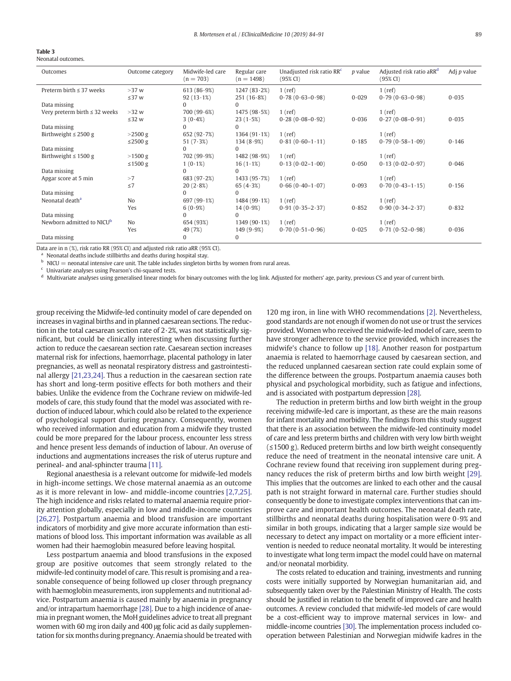#### <span id="page-5-0"></span>Table 3

Neonatal outcomes.

| Outcomes                              | Outcome category       | Midwife-led care<br>$(n = 703)$ | Regular care<br>$(n = 1498)$ | Unadjusted risk ratio RR <sup>c</sup><br>$(95\% \, \text{CI})$ | <i>p</i> value | Adjusted risk ratio aRR <sup>d</sup><br>$(95\% \text{ CI})$ | Adj p value |
|---------------------------------------|------------------------|---------------------------------|------------------------------|----------------------------------------------------------------|----------------|-------------------------------------------------------------|-------------|
| Preterm birth $\leq$ 37 weeks         | $>37$ w<br>$\leq$ 37 w | 613(86.9%)<br>92(13.1%)         | 1247(83.2%)<br>251(16.8%)    | $1$ (ref)<br>$0.78(0.63 - 0.98)$                               | 0.029          | 1(ref)<br>$0.79(0.63 - 0.98)$                               | 0.035       |
| Data missing                          |                        | 0                               | 0                            |                                                                |                |                                                             |             |
| Very preterm birth $\leq$ 32 weeks    | $>32$ w                | 700(99.6%)                      | 1475(98.5%)                  | $1$ (ref)                                                      |                | $1$ (ref)                                                   |             |
|                                       | $\leq$ 32 w            | $3(0.4\%)$                      | 23(1.5%)                     | $0.28(0.08-0.92)$                                              | 0.036          | $0.27(0.08-0.91)$                                           | 0.035       |
| Data missing                          |                        | 0                               | 0                            |                                                                |                |                                                             |             |
| Birthweight $\leq$ 2500 g             | $>2500$ g              | 652 $(92.7%)$                   | 1364(91.1%)                  | $1$ (ref)                                                      |                | 1(ref)                                                      |             |
|                                       | $\leq$ 2500 g          | 51(7.3%)                        | 134(8.9%)                    | $0.81(0.60 - 1.11)$                                            | 0.185          | $0.79(0.58-1.09)$                                           | 0.146       |
| Data missing                          |                        | $\Omega$                        | $\Omega$                     |                                                                |                |                                                             |             |
| Birthweight $\leq 1500$ g             | >1500 g                | 702(99.9%)                      | 1482 (98.9%)                 | $1$ (ref)                                                      |                | 1(ref)                                                      |             |
|                                       | $\leq 1500$ g          | $1(0.1\%)$                      | $16(1.1\%)$                  | $0.13(0.02 - 1.00)$                                            | 0.050          | $0.13(0.02 - 0.97)$                                         | 0.046       |
| Data missing                          |                        | 0                               | 0                            |                                                                |                |                                                             |             |
| Apgar score at 5 min                  | >7                     | 683 $(97.2%)$                   | 1433(95.7%)                  | $1$ (ref)                                                      |                | $1$ (ref)                                                   |             |
|                                       | $\leq$ 7               | 20(2.8%)                        | 65(4.3%)                     | $0.66(0.40-1.07)$                                              | 0.093          | $0.70(0.43 - 1.15)$                                         | 0.156       |
| Data missing                          |                        | 0                               | 0                            |                                                                |                |                                                             |             |
| Neonatal death <sup>a</sup>           | N <sub>o</sub>         | 697 $(99.1\%)$                  | 1484(99.1%)                  | $1$ (ref)                                                      |                | $1$ (ref)                                                   |             |
|                                       | Yes                    | 6(0.9%)                         | $14(0.9\%)$                  | $0.91(0.35 - 2.37)$                                            | 0.852          | $0.90(0.34 - 2.37)$                                         | 0.832       |
| Data missing                          |                        | 0                               | $\Omega$                     |                                                                |                |                                                             |             |
| Newborn admitted to NICU <sup>b</sup> | N <sub>0</sub>         | 654 (93%)                       | 1349(90.1%)                  | $1$ (ref)                                                      |                | 1(ref)                                                      |             |
|                                       | Yes                    | 49 (7%)                         | 149(9.9%)                    | $0.70(0.51 - 0.96)$                                            | 0.025          | $0.71(0.52 - 0.98)$                                         | 0.036       |
| Data missing                          |                        | 0                               | $\Omega$                     |                                                                |                |                                                             |             |

Data are in n (%), risk ratio RR (95% CI) and adjusted risk ratio aRR (95% CI).

a Neonatal deaths include stillbirths and deaths during hospital stay.

 $<sup>b</sup>$  NICU = neonatal intensive care unit. The table includes singleton births by women from rural areas.</sup>

<sup>c</sup> Univariate analyses using Pearson's chi-squared tests.

<sup>d</sup> Multivariate analyses using generalised linear models for binary outcomes with the log link. Adjusted for mothers' age, parity, previous CS and year of current birth.

group receiving the Midwife-led continuity model of care depended on increases in vaginal births and in planned caesarean sections. The reduction in the total caesarean section rate of  $2.2\%$ , was not statistically significant, but could be clinically interesting when discussing further action to reduce the caesarean section rate. Caesarean section increases maternal risk for infections, haemorrhage, placental pathology in later pregnancies, as well as neonatal respiratory distress and gastrointestinal allergy [\[21,23,24\]](#page-6-0). Thus a reduction in the caesarean section rate has short and long-term positive effects for both mothers and their babies. Unlike the evidence from the Cochrane review on midwife-led models of care, this study found that the model was associated with reduction of induced labour, which could also be related to the experience of psychological support during pregnancy. Consequently, women who received information and education from a midwife they trusted could be more prepared for the labour process, encounter less stress and hence present less demands of induction of labour. An overuse of inductions and augmentations increases the risk of uterus rupture and perineal- and anal-sphincter trauma [\[11\].](#page-6-0)

Regional anaesthesia is a relevant outcome for midwife-led models in high-income settings. We chose maternal anaemia as an outcome as it is more relevant in low- and middle-income countries [\[2,7,25\].](#page-6-0) The high incidence and risks related to maternal anaemia require priority attention globally, especially in low and middle-income countries [\[26,27\].](#page-7-0) Postpartum anaemia and blood transfusion are important indicators of morbidity and give more accurate information than estimations of blood loss. This important information was available as all women had their haemoglobin measured before leaving hospital.

Less postpartum anaemia and blood transfusions in the exposed group are positive outcomes that seem strongly related to the midwife-led continuity model of care. This result is promising and a reasonable consequence of being followed up closer through pregnancy with haemoglobin measurements, iron supplements and nutritional advice. Postpartum anaemia is caused mainly by anaemia in pregnancy and/or intrapartum haemorrhage [\[28\].](#page-7-0) Due to a high incidence of anaemia in pregnant women, the MoH guidelines advice to treat all pregnant women with 60 mg iron daily and 400 μg folic acid as daily supplementation for six months during pregnancy. Anaemia should be treated with

120 mg iron, in line with WHO recommendations [\[2\].](#page-6-0) Nevertheless, good standards are not enough if women do not use or trust the services provided. Women who received the midwife-led model of care, seem to have stronger adherence to the service provided, which increases the midwife's chance to follow up [\[18\].](#page-6-0) Another reason for postpartum anaemia is related to haemorrhage caused by caesarean section, and the reduced unplanned caesarean section rate could explain some of the difference between the groups. Postpartum anaemia causes both physical and psychological morbidity, such as fatigue and infections, and is associated with postpartum depression [\[28\]](#page-7-0).

The reduction in preterm births and low birth weight in the group receiving midwife-led care is important, as these are the main reasons for infant mortality and morbidity. The findings from this study suggest that there is an association between the midwife-led continuity model of care and less preterm births and children with very low birth weight  $($  ≤1500 g). Reduced preterm births and low birth weight consequently reduce the need of treatment in the neonatal intensive care unit. A Cochrane review found that receiving iron supplement during pregnancy reduces the risk of preterm births and low birth weight [\[29\].](#page-7-0) This implies that the outcomes are linked to each other and the causal path is not straight forward in maternal care. Further studies should consequently be done to investigate complex interventions that can improve care and important health outcomes. The neonatal death rate, stillbirths and neonatal deaths during hospitalisation were  $0.9\%$  and similar in both groups, indicating that a larger sample size would be necessary to detect any impact on mortality or a more efficient intervention is needed to reduce neonatal mortality. It would be interesting to investigate what long term impact the model could have on maternal and/or neonatal morbidity.

The costs related to education and training, investments and running costs were initially supported by Norwegian humanitarian aid, and subsequently taken over by the Palestinian Ministry of Health. The costs should be justified in relation to the benefit of improved care and health outcomes. A review concluded that midwife-led models of care would be a cost-efficient way to improve maternal services in low- and middle-income countries [\[30\].](#page-7-0) The implementation process included cooperation between Palestinian and Norwegian midwife kadres in the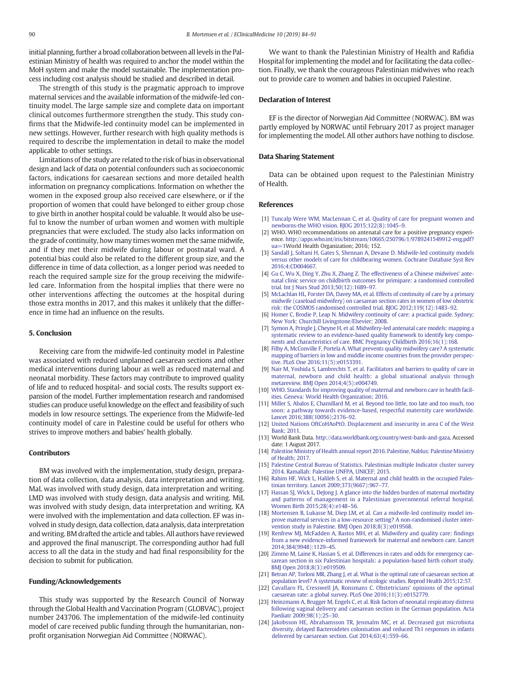<span id="page-6-0"></span>initial planning, further a broad collaboration between all levels in the Palestinian Ministry of health was required to anchor the model within the MoH system and make the model sustainable. The implementation process including cost analysis should be studied and described in detail.

The strength of this study is the pragmatic approach to improve maternal services and the available information of the midwife-led continuity model. The large sample size and complete data on important clinical outcomes furthermore strengthen the study. This study confirms that the Midwife-led continuity model can be implemented in new settings. However, further research with high quality methods is required to describe the implementation in detail to make the model applicable to other settings.

Limitations of the study are related to the risk of bias in observational design and lack of data on potential confounders such as socioeconomic factors, indications for caesarean sections and more detailed health information on pregnancy complications. Information on whether the women in the exposed group also received care elsewhere, or if the proportion of women that could have belonged to either group chose to give birth in another hospital could be valuable. It would also be useful to know the number of urban women and women with multiple pregnancies that were excluded. The study also lacks information on the grade of continuity, how many times women met the same midwife, and if they met their midwife during labour or postnatal ward. A potential bias could also be related to the different group size, and the difference in time of data collection, as a longer period was needed to reach the required sample size for the group receiving the midwifeled care. Information from the hospital implies that there were no other interventions affecting the outcomes at the hospital during those extra months in 2017, and this makes it unlikely that the difference in time had an influence on the results.

#### 5. Conclusion

Receiving care from the midwife-led continuity model in Palestine was associated with reduced unplanned caesarean sections and other medical interventions during labour as well as reduced maternal and neonatal morbidity. These factors may contribute to improved quality of life and to reduced hospital- and social costs. The results support expansion of the model. Further implementation research and randomised studies can produce useful knowledge on the effect and feasibility of such models in low resource settings. The experience from the Midwife-led continuity model of care in Palestine could be useful for others who strives to improve mothers and babies' health globally.

#### Contributors

BM was involved with the implementation, study design, preparation of data collection, data analysis, data interpretation and writing. MaL was involved with study design, data interpretation and writing. LMD was involved with study design, data analysis and writing. MiL was involved with study design, data interpretation and writing. KA were involved with the implementation and data collection. EF was involved in study design, data collection, data analysis, data interpretation and writing. BM drafted the article and tables. All authors have reviewed and approved the final manuscript. The corresponding author had full access to all the data in the study and had final responsibility for the decision to submit for publication.

#### Funding/Acknowledgements

This study was supported by the Research Council of Norway through the Global Health and Vaccination Program (GLOBVAC), project number 243706. The implementation of the midwife-led continuity model of care received public funding through the humanitarian, nonprofit organisation Norwegian Aid Committee (NORWAC).

We want to thank the Palestinian Ministry of Health and Rafidia Hospital for implementing the model and for facilitating the data collection. Finally, we thank the courageous Palestinian midwives who reach out to provide care to women and babies in occupied Palestine.

#### Declaration of Interest

EF is the director of Norwegian Aid Committee (NORWAC). BM was partly employed by NORWAC until February 2017 as project manager for implementing the model. All other authors have nothing to disclose.

#### Data Sharing Statement

Data can be obtained upon request to the Palestinian Ministry of Health.

#### References

- [1] [Tuncalp Were WM, MacLennan C, et al. Quality of care for pregnant women and](http://refhub.elsevier.com/S2589-5370(19)30060-4/rf0005) [newborns-the WHO vision. BJOG 2015;122\(8\):1045](http://refhub.elsevier.com/S2589-5370(19)30060-4/rf0005)–9.
- [2] WHO. WHO recommendations on antenatal care for a positive pregnancy experience. [http://apps.who.int/iris/bitstream/10665/250796/1/9789241549912-eng.pdf?](http://apps.who.int/iris/bitstream/10665/250796/1/9789241549912-eng.pdf?ua=1) [ua=1](http://apps.who.int/iris/bitstream/10665/250796/1/9789241549912-eng.pdf?ua=1)World Health Organization; 2016; 152.
- [3] [Sandall J, Soltani H, Gates S, Shennan A, Devane D. Midwife-led continuity models](http://refhub.elsevier.com/S2589-5370(19)30060-4/rf0015) [versus other models of care for childbearing women. Cochrane Database Syst Rev](http://refhub.elsevier.com/S2589-5370(19)30060-4/rf0015) [2016;4:CD004667.](http://refhub.elsevier.com/S2589-5370(19)30060-4/rf0015)
- [4] [Gu C, Wu X, Ding Y, Zhu X, Zhang Z. The effectiveness of a Chinese midwives' ante](http://refhub.elsevier.com/S2589-5370(19)30060-4/rf0020)[natal clinic service on childbirth outcomes for primipare: a randomised controlled](http://refhub.elsevier.com/S2589-5370(19)30060-4/rf0020) [trial. Int J Nurs Stud 2013;50\(12\):1689](http://refhub.elsevier.com/S2589-5370(19)30060-4/rf0020)–97.
- [5] [McLachlan HL, Forster DA, Davey MA, et al. Effects of continuity of care by a primary](http://refhub.elsevier.com/S2589-5370(19)30060-4/rf0025) [midwife \(caseload midwifery\) on caesarean section rates in women of low obstetric](http://refhub.elsevier.com/S2589-5370(19)30060-4/rf0025) [risk: the COSMOS randomised controlled trial. BJOG 2012;119\(12\):1483](http://refhub.elsevier.com/S2589-5370(19)30060-4/rf0025)–92.
- [Homer C, Brodie P, Leap N. Midwifery continuity of care: a practical guide. Sydney;](http://refhub.elsevier.com/S2589-5370(19)30060-4/rf0030) [New York: Churchill Livingstone/Elsevier; 2008.](http://refhub.elsevier.com/S2589-5370(19)30060-4/rf0030)
- [7] [Symon A, Pringle J, Cheyne H, et al. Midwifery-led antenatal care models: mapping a](http://refhub.elsevier.com/S2589-5370(19)30060-4/rf0035) [systematic review to an evidence-based quality framework to identify key compo](http://refhub.elsevier.com/S2589-5370(19)30060-4/rf0035)[nents and characteristics of care. BMC Pregnancy Childbirth 2016;16\(1\):168.](http://refhub.elsevier.com/S2589-5370(19)30060-4/rf0035)
- [8] [Filby A, McConville F, Portela A. What prevents quality midwifery care? A systematic](http://refhub.elsevier.com/S2589-5370(19)30060-4/rf0040) [mapping of barriers in low and middle income countries from the provider perspec](http://refhub.elsevier.com/S2589-5370(19)30060-4/rf0040)[tive. PLoS One 2016;11\(5\):e0153391.](http://refhub.elsevier.com/S2589-5370(19)30060-4/rf0040)
- [Nair M, Yoshida S, Lambrechts T, et al. Facilitators and barriers to quality of care in](http://refhub.elsevier.com/S2589-5370(19)30060-4/rf0045) [maternal, newborn and child health: a global situational analysis through](http://refhub.elsevier.com/S2589-5370(19)30060-4/rf0045) [metareview. BMJ Open 2014;4\(5\):e004749.](http://refhub.elsevier.com/S2589-5370(19)30060-4/rf0045)
- [10] [WHO. Standards for improving quality of maternal and newborn care in health facil](http://refhub.elsevier.com/S2589-5370(19)30060-4/rf0050)[ities. Geneva: World Health Organization; 2016.](http://refhub.elsevier.com/S2589-5370(19)30060-4/rf0050)
- [11] [Miller S, Abalos E, Chamillard M, et al. Beyond too little, too late and too much, too](http://refhub.elsevier.com/S2589-5370(19)30060-4/rf0055) [soon: a pathway towards evidence-based, respectful maternity care worldwide.](http://refhub.elsevier.com/S2589-5370(19)30060-4/rf0055) [Lancet 2016;388\(10056\):2176](http://refhub.elsevier.com/S2589-5370(19)30060-4/rf0055)–92.
- [12] [United Nations OftCoHAoPtO. Displacement and insecurity in area C of the West](http://refhub.elsevier.com/S2589-5370(19)30060-4/rf0060) [Bank; 2011.](http://refhub.elsevier.com/S2589-5370(19)30060-4/rf0060)
- [13] World Bank Data. <http://data.worldbank.org/country/west-bank-and-gaza>, Accessed date: 1 August 2017.
- [14] [Palestine Ministry of Health annual report 2016. Palestine, Nablus: Palestine Ministry](http://refhub.elsevier.com/S2589-5370(19)30060-4/rf0070) [of Health; 2017.](http://refhub.elsevier.com/S2589-5370(19)30060-4/rf0070)
- [15] [Palestine Central Bureau of Statistics. Palestinian multiple Indicator cluster survey](http://refhub.elsevier.com/S2589-5370(19)30060-4/rf0075) [2014. Ramallah: Palestine UNFPA, UNICEF; 2015.](http://refhub.elsevier.com/S2589-5370(19)30060-4/rf0075)
- [16] [Rahim HF, Wick L, Halileh S, et al. Maternal and child health in the occupied Pales](http://refhub.elsevier.com/S2589-5370(19)30060-4/rf0080)[tinian territory. Lancet 2009;373\(9667\):967](http://refhub.elsevier.com/S2589-5370(19)30060-4/rf0080)–77.
- [17] [Hassan SJ, Wick L, DeJong J. A glance into the hidden burden of maternal morbidity](http://refhub.elsevier.com/S2589-5370(19)30060-4/rf0085) [and patterns of management in a Palestinian governmental referral hospital.](http://refhub.elsevier.com/S2589-5370(19)30060-4/rf0085) [Women Birth 2015;28\(4\):e148](http://refhub.elsevier.com/S2589-5370(19)30060-4/rf0085)–56.
- [18] [Mortensen B, Lukasse M, Diep LM, et al. Can a midwife-led continuity model im](http://refhub.elsevier.com/S2589-5370(19)30060-4/rf0090)[prove maternal services in a low-resource setting? A non-randomised cluster inter](http://refhub.elsevier.com/S2589-5370(19)30060-4/rf0090)[vention study in Palestine. BMJ Open 2018;8\(3\):e019568.](http://refhub.elsevier.com/S2589-5370(19)30060-4/rf0090)
- [19] [Renfrew MJ, McFadden A, Bastos MH, et al. Midwifery and quality care:](http://refhub.elsevier.com/S2589-5370(19)30060-4/rf0095) findings [from a new evidence-informed framework for maternal and newborn care. Lancet](http://refhub.elsevier.com/S2589-5370(19)30060-4/rf0095) [2014;384\(9948\):1129](http://refhub.elsevier.com/S2589-5370(19)30060-4/rf0095)–45.
- [20] [Zimmo M, Laine K, Hassan S, et al. Differences in rates and odds for emergency cae](http://refhub.elsevier.com/S2589-5370(19)30060-4/rf0100)[sarean section in six Palestinian hospitals: a population-based birth cohort study.](http://refhub.elsevier.com/S2589-5370(19)30060-4/rf0100) [BMJ Open 2018;8\(3\):e019509.](http://refhub.elsevier.com/S2589-5370(19)30060-4/rf0100)
- [21] [Betran AP, Torloni MR, Zhang J, et al. What is the optimal rate of caesarean section at](http://refhub.elsevier.com/S2589-5370(19)30060-4/rf0105) [population level? A systematic review of ecologic studies. Reprod Health 2015;12:57.](http://refhub.elsevier.com/S2589-5370(19)30060-4/rf0105)
- [22] [Cavallaro FL, Cresswell JA, Ronsmans C. Obstetricians' opinions of the optimal](http://refhub.elsevier.com/S2589-5370(19)30060-4/rf0110) [caesarean rate: a global survey. PLoS One 2016;11\(3\):e0152779.](http://refhub.elsevier.com/S2589-5370(19)30060-4/rf0110)
- [23] [Heinzmann A, Brugger M, Engels C, et al. Risk factors of neonatal respiratory distress](http://refhub.elsevier.com/S2589-5370(19)30060-4/rf0115) [following vaginal delivery and caesarean section in the German population. Acta](http://refhub.elsevier.com/S2589-5370(19)30060-4/rf0115) [Paediatr 2009;98\(1\):25](http://refhub.elsevier.com/S2589-5370(19)30060-4/rf0115)–30.
- [24] [Jakobsson HE, Abrahamsson TR, Jenmalm MC, et al. Decreased gut microbiota](http://refhub.elsevier.com/S2589-5370(19)30060-4/rf0120) [diversity, delayed Bacteroidetes colonisation and reduced Th1 responses in infants](http://refhub.elsevier.com/S2589-5370(19)30060-4/rf0120) [delivered by caesarean section. Gut 2014;63\(4\):559](http://refhub.elsevier.com/S2589-5370(19)30060-4/rf0120)–66.